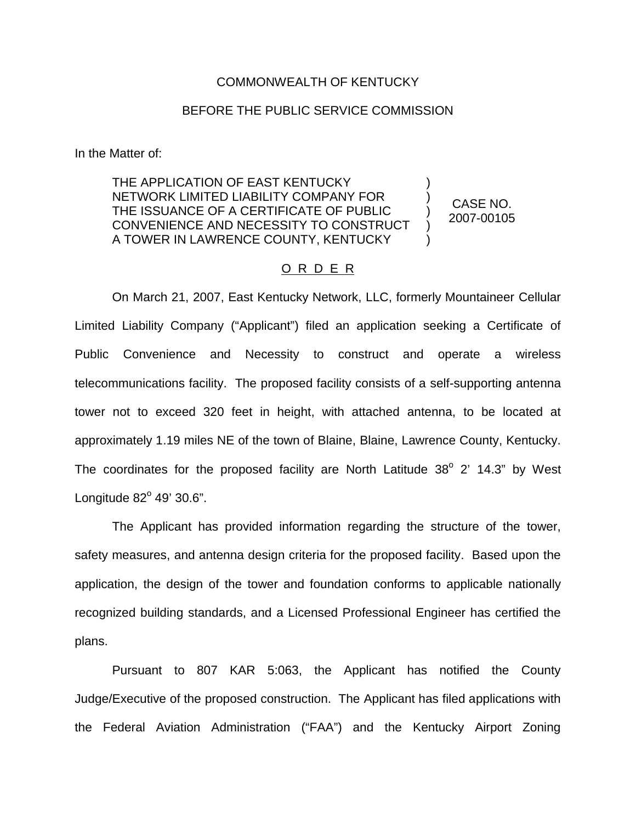## COMMONWEALTH OF KENTUCKY

## BEFORE THE PUBLIC SERVICE COMMISSION

In the Matter of:

THE APPLICATION OF EAST KENTUCKY NETWORK LIMITED LIABILITY COMPANY FOR THE ISSUANCE OF A CERTIFICATE OF PUBLIC CONVENIENCE AND NECESSITY TO CONSTRUCT A TOWER IN LAWRENCE COUNTY, KENTUCKY

CASE NO. 2007-00105

) ) ) ) )

## O R D E R

On March 21, 2007, East Kentucky Network, LLC, formerly Mountaineer Cellular Limited Liability Company ("Applicant") filed an application seeking a Certificate of Public Convenience and Necessity to construct and operate a wireless telecommunications facility. The proposed facility consists of a self-supporting antenna tower not to exceed 320 feet in height, with attached antenna, to be located at approximately 1.19 miles NE of the town of Blaine, Blaine, Lawrence County, Kentucky. The coordinates for the proposed facility are North Latitude  $38^{\circ}$  2' 14.3" by West Longitude  $82^{\circ}$  49' 30.6".

The Applicant has provided information regarding the structure of the tower, safety measures, and antenna design criteria for the proposed facility. Based upon the application, the design of the tower and foundation conforms to applicable nationally recognized building standards, and a Licensed Professional Engineer has certified the plans.

Pursuant to 807 KAR 5:063, the Applicant has notified the County Judge/Executive of the proposed construction. The Applicant has filed applications with the Federal Aviation Administration ("FAA") and the Kentucky Airport Zoning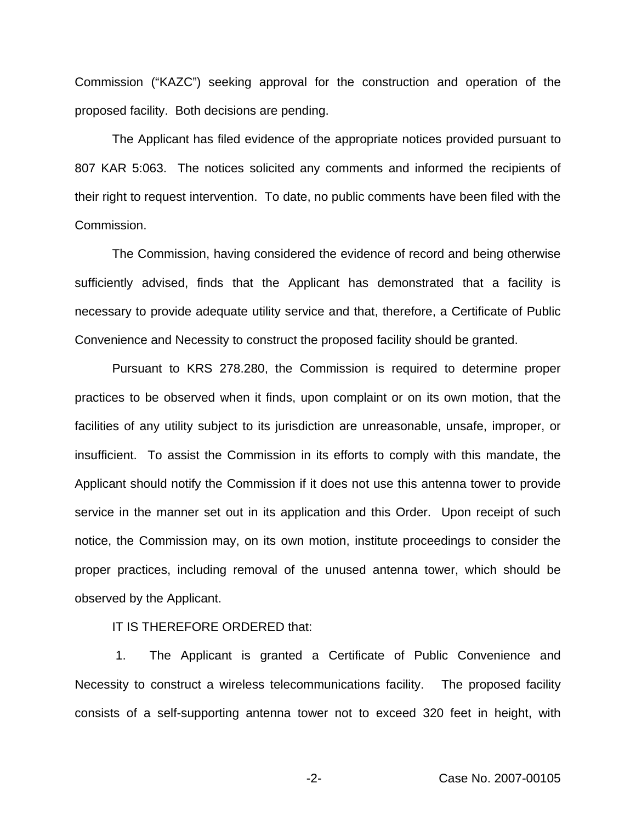Commission ("KAZC") seeking approval for the construction and operation of the proposed facility. Both decisions are pending.

The Applicant has filed evidence of the appropriate notices provided pursuant to 807 KAR 5:063. The notices solicited any comments and informed the recipients of their right to request intervention. To date, no public comments have been filed with the Commission.

The Commission, having considered the evidence of record and being otherwise sufficiently advised, finds that the Applicant has demonstrated that a facility is necessary to provide adequate utility service and that, therefore, a Certificate of Public Convenience and Necessity to construct the proposed facility should be granted.

Pursuant to KRS 278.280, the Commission is required to determine proper practices to be observed when it finds, upon complaint or on its own motion, that the facilities of any utility subject to its jurisdiction are unreasonable, unsafe, improper, or insufficient. To assist the Commission in its efforts to comply with this mandate, the Applicant should notify the Commission if it does not use this antenna tower to provide service in the manner set out in its application and this Order. Upon receipt of such notice, the Commission may, on its own motion, institute proceedings to consider the proper practices, including removal of the unused antenna tower, which should be observed by the Applicant.

IT IS THEREFORE ORDERED that:

1. The Applicant is granted a Certificate of Public Convenience and Necessity to construct a wireless telecommunications facility. The proposed facility consists of a self-supporting antenna tower not to exceed 320 feet in height, with